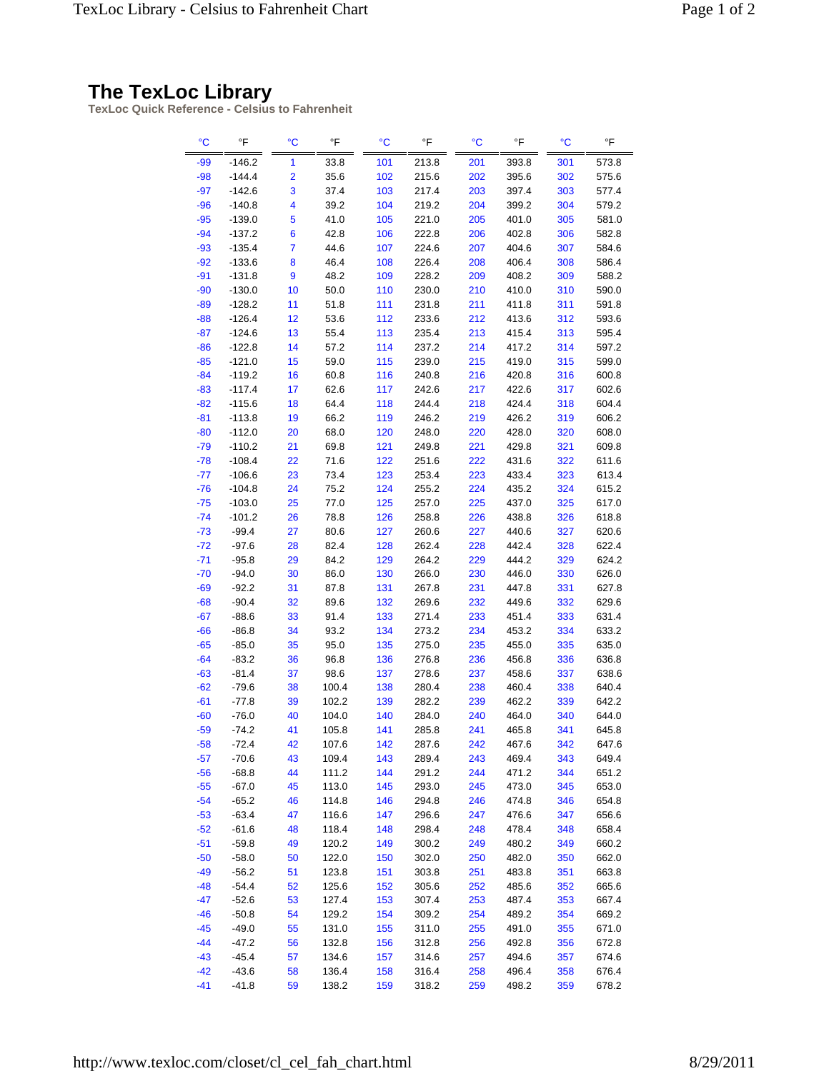## **The TexLoc Library**

**TexLoc Quick Reference - Celsius to Fahrenheit**

| °C    | °F       | $\rm ^{\circ}C$         | °F    | $\rm ^{\circ}C$ | °F    | °C  | $\,^{\circ}\mathsf{F}$ | °C  | °F    |
|-------|----------|-------------------------|-------|-----------------|-------|-----|------------------------|-----|-------|
| $-99$ | $-146.2$ | 1                       | 33.8  | 101             | 213.8 | 201 | 393.8                  | 301 | 573.8 |
| $-98$ | $-144.4$ | $\overline{\mathbf{2}}$ | 35.6  | 102             | 215.6 | 202 | 395.6                  | 302 | 575.6 |
| $-97$ | $-142.6$ | 3                       | 37.4  | 103             | 217.4 | 203 | 397.4                  | 303 | 577.4 |
| $-96$ | $-140.8$ | 4                       | 39.2  | 104             | 219.2 | 204 | 399.2                  | 304 | 579.2 |
| $-95$ | $-139.0$ | 5                       | 41.0  | 105             | 221.0 | 205 | 401.0                  | 305 | 581.0 |
| $-94$ | $-137.2$ | 6                       | 42.8  | 106             | 222.8 | 206 | 402.8                  | 306 | 582.8 |
| $-93$ | $-135.4$ | $\overline{7}$          | 44.6  | 107             | 224.6 | 207 | 404.6                  | 307 | 584.6 |
| $-92$ | $-133.6$ | 8                       | 46.4  | 108             | 226.4 | 208 | 406.4                  | 308 | 586.4 |
| $-91$ | $-131.8$ | 9                       | 48.2  | 109             | 228.2 | 209 | 408.2                  | 309 | 588.2 |
| $-90$ | $-130.0$ | 10                      | 50.0  | 110             | 230.0 | 210 | 410.0                  | 310 | 590.0 |
| $-89$ | $-128.2$ | 11                      | 51.8  | 111             | 231.8 | 211 | 411.8                  | 311 | 591.8 |
| $-88$ | $-126.4$ | 12                      | 53.6  | 112             | 233.6 | 212 | 413.6                  | 312 | 593.6 |
| $-87$ | $-124.6$ | 13                      | 55.4  | 113             | 235.4 | 213 | 415.4                  | 313 | 595.4 |
| $-86$ | $-122.8$ | 14                      | 57.2  | 114             | 237.2 | 214 | 417.2                  | 314 | 597.2 |
| $-85$ | $-121.0$ | 15                      | 59.0  | 115             | 239.0 | 215 | 419.0                  | 315 | 599.0 |
| $-84$ | $-119.2$ | 16                      | 60.8  | 116             | 240.8 | 216 | 420.8                  | 316 | 600.8 |
| $-83$ | $-117.4$ | 17                      | 62.6  | 117             | 242.6 | 217 | 422.6                  | 317 | 602.6 |
| $-82$ | $-115.6$ | 18                      | 64.4  | 118             | 244.4 | 218 | 424.4                  | 318 | 604.4 |
| $-81$ | $-113.8$ | 19                      | 66.2  | 119             | 246.2 | 219 | 426.2                  | 319 | 606.2 |
| $-80$ | $-112.0$ | 20                      | 68.0  | 120             | 248.0 | 220 | 428.0                  | 320 | 608.0 |
| $-79$ | $-110.2$ | 21                      | 69.8  | 121             | 249.8 | 221 | 429.8                  | 321 | 609.8 |
| $-78$ | $-108.4$ | 22                      | 71.6  | 122             | 251.6 | 222 | 431.6                  | 322 | 611.6 |
| $-77$ | $-106.6$ | 23                      | 73.4  | 123             | 253.4 | 223 | 433.4                  | 323 | 613.4 |
| $-76$ | $-104.8$ | 24                      | 75.2  | 124             | 255.2 | 224 | 435.2                  | 324 | 615.2 |
| $-75$ | $-103.0$ | 25                      | 77.0  | 125             | 257.0 | 225 | 437.0                  | 325 | 617.0 |
| $-74$ | $-101.2$ | 26                      | 78.8  | 126             | 258.8 | 226 | 438.8                  | 326 | 618.8 |
| $-73$ | $-99.4$  | 27                      | 80.6  | 127             | 260.6 | 227 | 440.6                  | 327 | 620.6 |
| $-72$ | $-97.6$  | 28                      | 82.4  | 128             | 262.4 | 228 | 442.4                  | 328 | 622.4 |
| $-71$ | $-95.8$  | 29                      | 84.2  | 129             | 264.2 | 229 | 444.2                  | 329 | 624.2 |
| $-70$ | $-94.0$  | 30                      | 86.0  | 130             | 266.0 | 230 | 446.0                  | 330 | 626.0 |
| $-69$ | $-92.2$  | 31                      | 87.8  | 131             | 267.8 | 231 | 447.8                  | 331 | 627.8 |
| $-68$ | $-90.4$  | 32                      | 89.6  | 132             | 269.6 | 232 | 449.6                  | 332 | 629.6 |
| $-67$ | $-88.6$  | 33                      | 91.4  | 133             | 271.4 | 233 | 451.4                  | 333 | 631.4 |
| $-66$ | $-86.8$  | 34                      | 93.2  | 134             | 273.2 | 234 | 453.2                  | 334 | 633.2 |
| $-65$ | $-85.0$  | 35                      | 95.0  | 135             | 275.0 | 235 | 455.0                  | 335 | 635.0 |
| $-64$ | $-83.2$  | 36                      | 96.8  | 136             | 276.8 | 236 | 456.8                  | 336 | 636.8 |
| $-63$ | $-81.4$  | 37                      | 98.6  | 137             | 278.6 | 237 | 458.6                  | 337 | 638.6 |
| $-62$ | $-79.6$  | 38                      | 100.4 | 138             | 280.4 | 238 | 460.4                  | 338 | 640.4 |
| $-61$ | $-77.8$  | 39                      | 102.2 | 139             | 282.2 | 239 | 462.2                  | 339 | 642.2 |
| $-60$ | $-76.0$  | 40                      | 104.0 | 140             | 284.0 | 240 | 464.0                  | 340 | 644.0 |
| $-59$ | $-74.2$  | 41                      | 105.8 | 141             | 285.8 | 241 | 465.8                  | 341 | 645.8 |
| $-58$ | $-72.4$  | 42                      | 107.6 | 142             | 287.6 | 242 | 467.6                  | 342 | 647.6 |
| $-57$ | $-70.6$  | 43                      | 109.4 | 143             | 289.4 | 243 | 469.4                  | 343 | 649.4 |
| $-56$ | $-68.8$  | 44                      | 111.2 | 144             | 291.2 | 244 | 471.2                  | 344 | 651.2 |
| $-55$ | $-67.0$  | 45                      | 113.0 | 145             | 293.0 | 245 | 473.0                  | 345 | 653.0 |
| $-54$ | $-65.2$  | 46                      | 114.8 | 146             | 294.8 | 246 | 474.8                  | 346 | 654.8 |
| $-53$ | $-63.4$  | 47                      | 116.6 | 147             | 296.6 | 247 | 476.6                  | 347 | 656.6 |
| $-52$ | $-61.6$  | 48                      | 118.4 | 148             | 298.4 | 248 | 478.4                  | 348 | 658.4 |
| $-51$ | $-59.8$  | 49                      | 120.2 | 149             | 300.2 | 249 | 480.2                  | 349 | 660.2 |
| $-50$ | -58.0    | 50                      | 122.0 | 150             | 302.0 | 250 | 482.0                  | 350 | 662.0 |
| $-49$ | $-56.2$  | 51                      | 123.8 | 151             | 303.8 | 251 | 483.8                  | 351 | 663.8 |
| $-48$ | $-54.4$  | 52                      | 125.6 | 152             | 305.6 | 252 | 485.6                  | 352 | 665.6 |
| $-47$ | $-52.6$  | 53                      | 127.4 | 153             | 307.4 | 253 | 487.4                  | 353 | 667.4 |
| $-46$ | $-50.8$  | 54                      | 129.2 | 154             | 309.2 | 254 | 489.2                  | 354 | 669.2 |
| $-45$ | $-49.0$  | 55                      | 131.0 | 155             | 311.0 | 255 | 491.0                  | 355 | 671.0 |
| $-44$ | $-47.2$  | 56                      | 132.8 | 156             | 312.8 | 256 | 492.8                  | 356 | 672.8 |
| $-43$ | $-45.4$  | 57                      | 134.6 | 157             | 314.6 | 257 | 494.6                  | 357 | 674.6 |
| $-42$ | -43.6    | 58                      | 136.4 | 158             | 316.4 | 258 | 496.4                  | 358 | 676.4 |
| $-41$ | $-41.8$  | 59                      | 138.2 | 159             | 318.2 | 259 | 498.2                  | 359 | 678.2 |